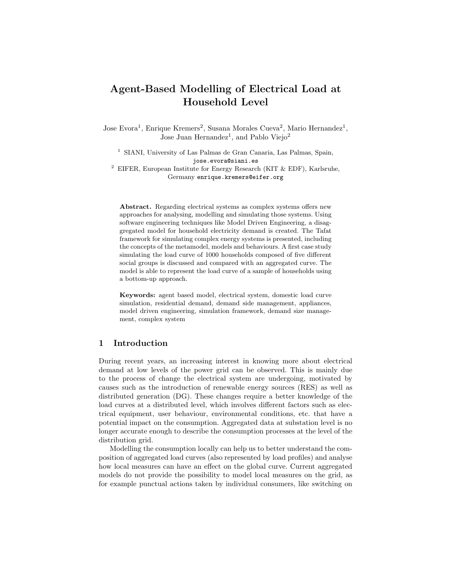# Agent-Based Modelling of Electrical Load at Household Level

Jose Evora<sup>1</sup>, Enrique Kremers<sup>2</sup>, Susana Morales Cueva<sup>2</sup>, Mario Hernandez<sup>1</sup>, Jose Juan Hernandez<sup>1</sup>, and Pablo Viejo<sup>2</sup>

<sup>1</sup> SIANI, University of Las Palmas de Gran Canaria, Las Palmas, Spain, jose.evora@siani.es <sup>2</sup> EIFER, European Institute for Energy Research (KIT  $\&$  EDF), Karlsruhe, Germany enrique.kremers@eifer.org

Abstract. Regarding electrical systems as complex systems offers new approaches for analysing, modelling and simulating those systems. Using software engineering techniques like Model Driven Engineering, a disaggregated model for household electricity demand is created. The Tafat framework for simulating complex energy systems is presented, including the concepts of the metamodel, models and behaviours. A first case study simulating the load curve of 1000 households composed of five different social groups is discussed and compared with an aggregated curve. The model is able to represent the load curve of a sample of households using a bottom-up approach.

Keywords: agent based model, electrical system, domestic load curve simulation, residential demand, demand side management, appliances, model driven engineering, simulation framework, demand size management, complex system

# 1 Introduction

During recent years, an increasing interest in knowing more about electrical demand at low levels of the power grid can be observed. This is mainly due to the process of change the electrical system are undergoing, motivated by causes such as the introduction of renewable energy sources (RES) as well as distributed generation (DG). These changes require a better knowledge of the load curves at a distributed level, which involves different factors such as electrical equipment, user behaviour, environmental conditions, etc. that have a potential impact on the consumption. Aggregated data at substation level is no longer accurate enough to describe the consumption processes at the level of the distribution grid.

Modelling the consumption locally can help us to better understand the composition of aggregated load curves (also represented by load profiles) and analyse how local measures can have an effect on the global curve. Current aggregated models do not provide the possibility to model local measures on the grid, as for example punctual actions taken by individual consumers, like switching on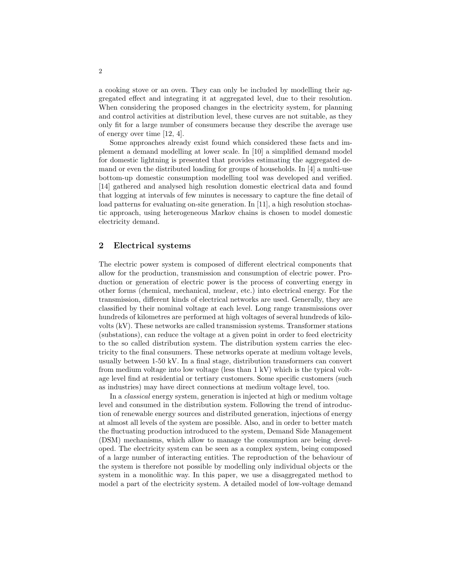a cooking stove or an oven. They can only be included by modelling their aggregated effect and integrating it at aggregated level, due to their resolution. When considering the proposed changes in the electricity system, for planning and control activities at distribution level, these curves are not suitable, as they only fit for a large number of consumers because they describe the average use of energy over time [12, 4].

Some approaches already exist found which considered these facts and implement a demand modelling at lower scale. In [10] a simplified demand model for domestic lightning is presented that provides estimating the aggregated demand or even the distributed loading for groups of households. In [4] a multi-use bottom-up domestic consumption modelling tool was developed and verified. [14] gathered and analysed high resolution domestic electrical data and found that logging at intervals of few minutes is necessary to capture the fine detail of load patterns for evaluating on-site generation. In [11], a high resolution stochastic approach, using heterogeneous Markov chains is chosen to model domestic electricity demand.

## 2 Electrical systems

The electric power system is composed of different electrical components that allow for the production, transmission and consumption of electric power. Production or generation of electric power is the process of converting energy in other forms (chemical, mechanical, nuclear, etc.) into electrical energy. For the transmission, different kinds of electrical networks are used. Generally, they are classified by their nominal voltage at each level. Long range transmissions over hundreds of kilometres are performed at high voltages of several hundreds of kilovolts (kV). These networks are called transmission systems. Transformer stations (substations), can reduce the voltage at a given point in order to feed electricity to the so called distribution system. The distribution system carries the electricity to the final consumers. These networks operate at medium voltage levels, usually between 1-50 kV. In a final stage, distribution transformers can convert from medium voltage into low voltage (less than 1 kV) which is the typical voltage level find at residential or tertiary customers. Some specific customers (such as industries) may have direct connections at medium voltage level, too.

In a classical energy system, generation is injected at high or medium voltage level and consumed in the distribution system. Following the trend of introduction of renewable energy sources and distributed generation, injections of energy at almost all levels of the system are possible. Also, and in order to better match the fluctuating production introduced to the system, Demand Side Management (DSM) mechanisms, which allow to manage the consumption are being developed. The electricity system can be seen as a complex system, being composed of a large number of interacting entities. The reproduction of the behaviour of the system is therefore not possible by modelling only individual objects or the system in a monolithic way. In this paper, we use a disaggregated method to model a part of the electricity system. A detailed model of low-voltage demand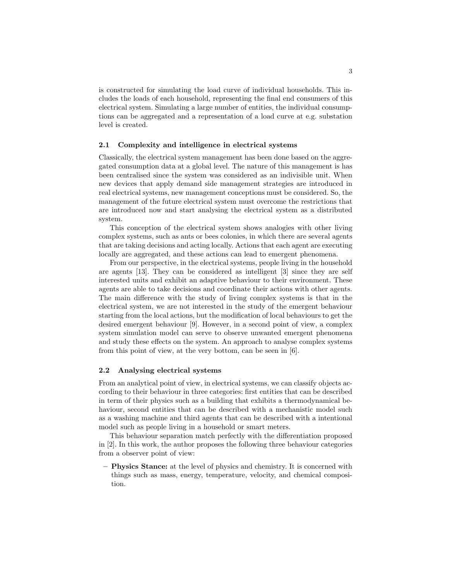is constructed for simulating the load curve of individual households. This includes the loads of each household, representing the final end consumers of this electrical system. Simulating a large number of entities, the individual consumptions can be aggregated and a representation of a load curve at e.g. substation level is created.

#### 2.1 Complexity and intelligence in electrical systems

Classically, the electrical system management has been done based on the aggregated consumption data at a global level. The nature of this management is has been centralised since the system was considered as an indivisible unit. When new devices that apply demand side management strategies are introduced in real electrical systems, new management conceptions must be considered. So, the management of the future electrical system must overcome the restrictions that are introduced now and start analysing the electrical system as a distributed system.

This conception of the electrical system shows analogies with other living complex systems, such as ants or bees colonies, in which there are several agents that are taking decisions and acting locally. Actions that each agent are executing locally are aggregated, and these actions can lead to emergent phenomena.

From our perspective, in the electrical systems, people living in the household are agents [13]. They can be considered as intelligent [3] since they are self interested units and exhibit an adaptive behaviour to their environment. These agents are able to take decisions and coordinate their actions with other agents. The main difference with the study of living complex systems is that in the electrical system, we are not interested in the study of the emergent behaviour starting from the local actions, but the modification of local behaviours to get the desired emergent behaviour [9]. However, in a second point of view, a complex system simulation model can serve to observe unwanted emergent phenomena and study these effects on the system. An approach to analyse complex systems from this point of view, at the very bottom, can be seen in [6].

#### 2.2 Analysing electrical systems

From an analytical point of view, in electrical systems, we can classify objects according to their behaviour in three categories: first entities that can be described in term of their physics such as a building that exhibits a thermodynamical behaviour, second entities that can be described with a mechanistic model such as a washing machine and third agents that can be described with a intentional model such as people living in a household or smart meters.

This behaviour separation match perfectly with the differentiation proposed in [2]. In this work, the author proposes the following three behaviour categories from a observer point of view:

– Physics Stance: at the level of physics and chemistry. It is concerned with things such as mass, energy, temperature, velocity, and chemical composition.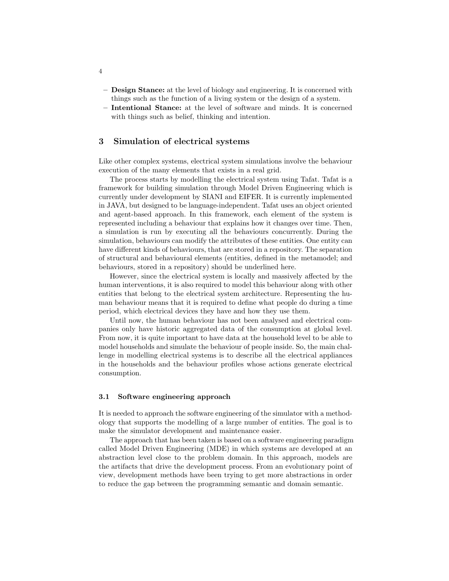- Design Stance: at the level of biology and engineering. It is concerned with things such as the function of a living system or the design of a system.
- Intentional Stance: at the level of software and minds. It is concerned with things such as belief, thinking and intention.

# 3 Simulation of electrical systems

Like other complex systems, electrical system simulations involve the behaviour execution of the many elements that exists in a real grid.

The process starts by modelling the electrical system using Tafat. Tafat is a framework for building simulation through Model Driven Engineering which is currently under development by SIANI and EIFER. It is currently implemented in JAVA, but designed to be language-independent. Tafat uses an object oriented and agent-based approach. In this framework, each element of the system is represented including a behaviour that explains how it changes over time. Then, a simulation is run by executing all the behaviours concurrently. During the simulation, behaviours can modify the attributes of these entities. One entity can have different kinds of behaviours, that are stored in a repository. The separation of structural and behavioural elements (entities, defined in the metamodel; and behaviours, stored in a repository) should be underlined here.

However, since the electrical system is locally and massively affected by the human interventions, it is also required to model this behaviour along with other entities that belong to the electrical system architecture. Representing the human behaviour means that it is required to define what people do during a time period, which electrical devices they have and how they use them.

Until now, the human behaviour has not been analysed and electrical companies only have historic aggregated data of the consumption at global level. From now, it is quite important to have data at the household level to be able to model households and simulate the behaviour of people inside. So, the main challenge in modelling electrical systems is to describe all the electrical appliances in the households and the behaviour profiles whose actions generate electrical consumption.

#### 3.1 Software engineering approach

It is needed to approach the software engineering of the simulator with a methodology that supports the modelling of a large number of entities. The goal is to make the simulator development and maintenance easier.

The approach that has been taken is based on a software engineering paradigm called Model Driven Engineering (MDE) in which systems are developed at an abstraction level close to the problem domain. In this approach, models are the artifacts that drive the development process. From an evolutionary point of view, development methods have been trying to get more abstractions in order to reduce the gap between the programming semantic and domain semantic.

4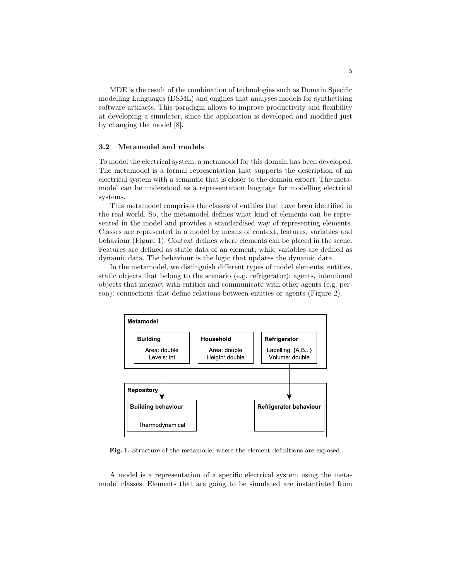MDE is the result of the combination of technologies such as Domain Specific modelling Languages (DSML) and engines that analyses models for synthetising software artifacts. This paradigm allows to improve productivity and flexibility at developing a simulator, since the application is developed and modified just by changing the model [8].

#### 3.2 Metamodel and models

To model the electrical system, a metamodel for this domain has been developed. The metamodel is a formal representation that supports the description of an electrical system with a semantic that is closer to the domain expert. The metamodel can be understood as a representation language for modelling electrical systems.

This metamodel comprises the classes of entities that have been identified in the real world. So, the metamodel defines what kind of elements can be represented in the model and provides a standardised way of representing elements. Classes are represented in a model by means of context, features, variables and behaviour (Figure 1). Context defines where elements can be placed in the scene. Features are defined as static data of an element; while variables are defined as dynamic data. The behaviour is the logic that updates the dynamic data.

In the metamodel, we distinguish different types of model elements: entities, static objects that belong to the scenario (e.g. refrigerator); agents, intentional objects that interact with entities and communicate with other agents (e.g. person); connections that define relations between entities or agents (Figure 2).



Fig. 1. Structure of the metamodel where the element definitions are exposed.

A model is a representation of a specific electrical system using the metamodel classes. Elements that are going to be simulated are instantiated from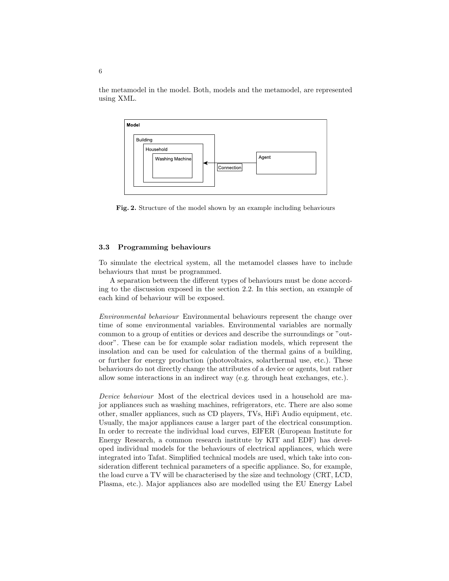the metamodel in the model. Both, models and the metamodel, are represented using XML.



Fig. 2. Structure of the model shown by an example including behaviours

#### 3.3 Programming behaviours

To simulate the electrical system, all the metamodel classes have to include behaviours that must be programmed.

A separation between the different types of behaviours must be done according to the discussion exposed in the section 2.2. In this section, an example of each kind of behaviour will be exposed.

Environmental behaviour Environmental behaviours represent the change over time of some environmental variables. Environmental variables are normally common to a group of entities or devices and describe the surroundings or "outdoor". These can be for example solar radiation models, which represent the insolation and can be used for calculation of the thermal gains of a building, or further for energy production (photovoltaics, solarthermal use, etc.). These behaviours do not directly change the attributes of a device or agents, but rather allow some interactions in an indirect way (e.g. through heat exchanges, etc.).

Device behaviour Most of the electrical devices used in a household are major appliances such as washing machines, refrigerators, etc. There are also some other, smaller appliances, such as CD players, TVs, HiFi Audio equipment, etc. Usually, the major appliances cause a larger part of the electrical consumption. In order to recreate the individual load curves, EIFER (European Institute for Energy Research, a common research institute by KIT and EDF) has developed individual models for the behaviours of electrical appliances, which were integrated into Tafat. Simplified technical models are used, which take into consideration different technical parameters of a specific appliance. So, for example, the load curve a TV will be characterised by the size and technology (CRT, LCD, Plasma, etc.). Major appliances also are modelled using the EU Energy Label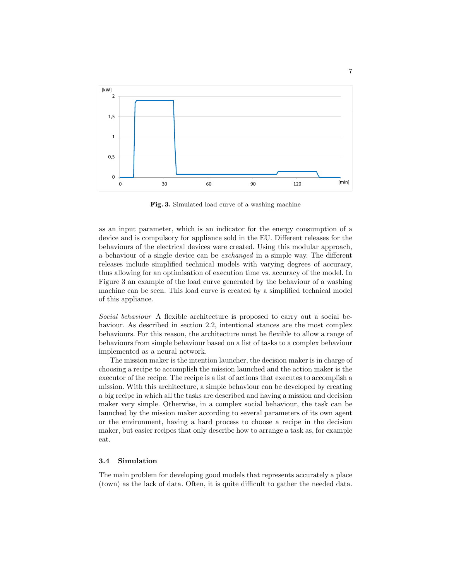

Fig. 3. Simulated load curve of a washing machine

as an input parameter, which is an indicator for the energy consumption of a device and is compulsory for appliance sold in the EU. Different releases for the behaviours of the electrical devices were created. Using this modular approach, a behaviour of a single device can be exchanged in a simple way. The different releases include simplified technical models with varying degrees of accuracy, thus allowing for an optimisation of execution time vs. accuracy of the model. In Figure 3 an example of the load curve generated by the behaviour of a washing machine can be seen. This load curve is created by a simplified technical model of this appliance.

Social behaviour A flexible architecture is proposed to carry out a social behaviour. As described in section 2.2, intentional stances are the most complex behaviours. For this reason, the architecture must be flexible to allow a range of behaviours from simple behaviour based on a list of tasks to a complex behaviour implemented as a neural network.

The mission maker is the intention launcher, the decision maker is in charge of choosing a recipe to accomplish the mission launched and the action maker is the executor of the recipe. The recipe is a list of actions that executes to accomplish a mission. With this architecture, a simple behaviour can be developed by creating a big recipe in which all the tasks are described and having a mission and decision maker very simple. Otherwise, in a complex social behaviour, the task can be launched by the mission maker according to several parameters of its own agent or the environment, having a hard process to choose a recipe in the decision maker, but easier recipes that only describe how to arrange a task as, for example eat.

#### 3.4 Simulation

The main problem for developing good models that represents accurately a place (town) as the lack of data. Often, it is quite difficult to gather the needed data.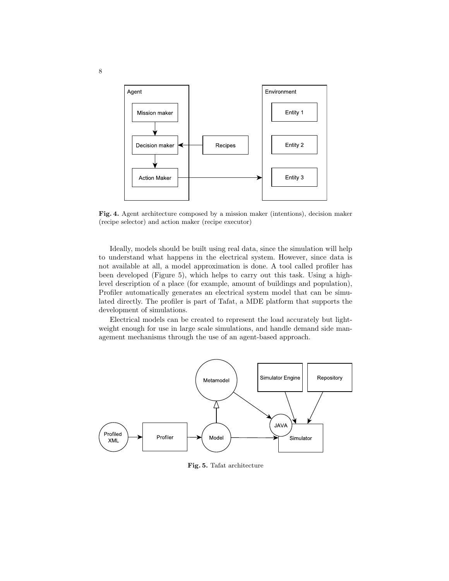

Fig. 4. Agent architecture composed by a mission maker (intentions), decision maker (recipe selector) and action maker (recipe executor)

Ideally, models should be built using real data, since the simulation will help to understand what happens in the electrical system. However, since data is not available at all, a model approximation is done. A tool called profiler has been developed (Figure 5), which helps to carry out this task. Using a highlevel description of a place (for example, amount of buildings and population), Profiler automatically generates an electrical system model that can be simulated directly. The profiler is part of Tafat, a MDE platform that supports the development of simulations.

Electrical models can be created to represent the load accurately but lightweight enough for use in large scale simulations, and handle demand side management mechanisms through the use of an agent-based approach.



Fig. 5. Tafat architecture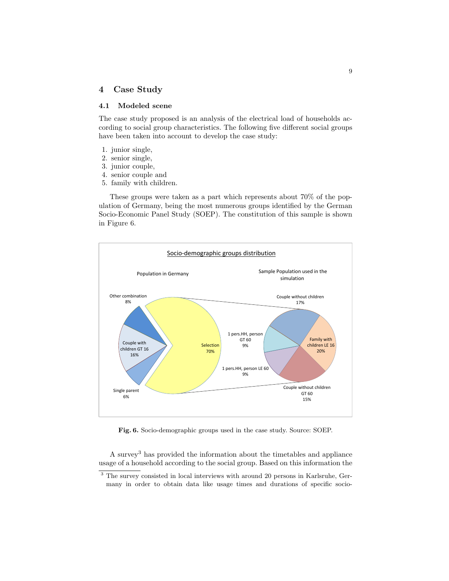# 4 Case Study

### 4.1 Modeled scene

The case study proposed is an analysis of the electrical load of households according to social group characteristics. The following five different social groups have been taken into account to develop the case study:

- 1. junior single,
- 2. senior single,
- 3. junior couple,
- 4. senior couple and
- 5. family with children.

These groups were taken as a part which represents about 70% of the population of Germany, being the most numerous groups identified by the German Socio-Economic Panel Study (SOEP). The constitution of this sample is shown in Figure 6.



Fig. 6. Socio-demographic groups used in the case study. Source: SOEP.

A survey<sup>3</sup> has provided the information about the timetables and appliance usage of a household according to the social group. Based on this information the

<sup>3</sup> The survey consisted in local interviews with around 20 persons in Karlsruhe, Germany in order to obtain data like usage times and durations of specific socio-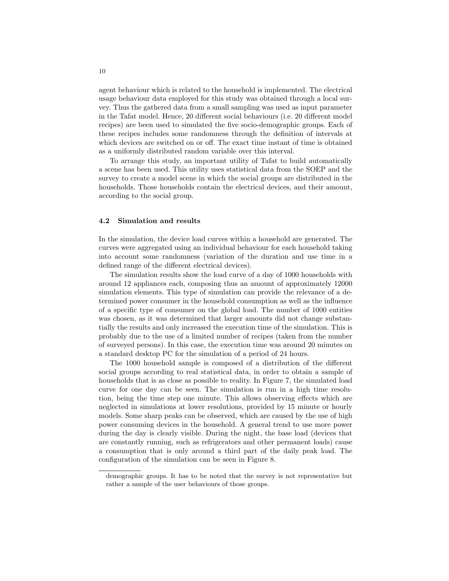agent behaviour which is related to the household is implemented. The electrical usage behaviour data employed for this study was obtained through a local survey. Thus the gathered data from a small sampling was used as input parameter in the Tafat model. Hence, 20 different social behaviours (i.e. 20 different model recipes) are been used to simulated the five socio-demographic groups. Each of these recipes includes some randomness through the definition of intervals at which devices are switched on or off. The exact time instant of time is obtained as a uniformly distributed random variable over this interval.

To arrange this study, an important utility of Tafat to build automatically a scene has been used. This utility uses statistical data from the SOEP and the survey to create a model scene in which the social groups are distributed in the households. Those households contain the electrical devices, and their amount, according to the social group.

#### 4.2 Simulation and results

In the simulation, the device load curves within a household are generated. The curves were aggregated using an individual behaviour for each household taking into account some randomness (variation of the duration and use time in a defined range of the different electrical devices).

The simulation results show the load curve of a day of 1000 households with around 12 appliances each, composing thus an amount of approximately 12000 simulation elements. This type of simulation can provide the relevance of a determined power consumer in the household consumption as well as the influence of a specific type of consumer on the global load. The number of 1000 entities was chosen, as it was determined that larger amounts did not change substantially the results and only increased the execution time of the simulation. This is probably due to the use of a limited number of recipes (taken from the number of surveyed persons). In this case, the execution time was around 20 minutes on a standard desktop PC for the simulation of a period of 24 hours.

The 1000 household sample is composed of a distribution of the different social groups according to real statistical data, in order to obtain a sample of households that is as close as possible to reality. In Figure 7, the simulated load curve for one day can be seen. The simulation is run in a high time resolution, being the time step one minute. This allows observing effects which are neglected in simulations at lower resolutions, provided by 15 minute or hourly models. Some sharp peaks can be observed, which are caused by the use of high power consuming devices in the household. A general trend to use more power during the day is clearly visible. During the night, the base load (devices that are constantly running, such as refrigerators and other permanent loads) cause a consumption that is only around a third part of the daily peak load. The configuration of the simulation can be seen in Figure 8.

demographic groups. It has to be noted that the survey is not representative but rather a sample of the user behaviours of those groups.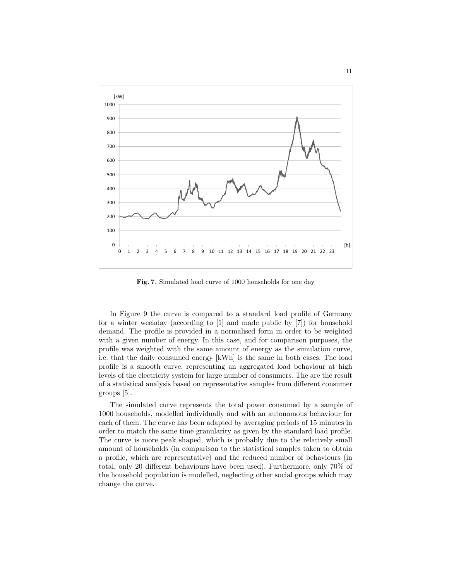

Fig. 7. Simulated load curve of 1000 households for one day

In Figure 9 the curve is compared to a standard load profile of Germany for a winter weekday (according to [1] and made public by [7]) for household demand. The profile is provided in a normalised form in order to be weighted with a given number of energy. In this case, and for comparison purposes, the profile was weighted with the same amount of energy as the simulation curve, i.e. that the daily consumed energy [kWh] is the same in both cases. The load profile is a smooth curve, representing an aggregated load behaviour at high levels of the electricity system for large number of consumers. The are the result of a statistical analysis based on representative samples from different consumer groups [5].

The simulated curve represents the total power consumed by a sample of 1000 households, modelled individually and with an autonomous behaviour for each of them. The curve has been adapted by averaging periods of 15 minutes in order to match the same time granularity as given by the standard load profile. The curve is more peak shaped, which is probably due to the relatively small amount of households (in comparison to the statistical samples taken to obtain a profile, which are representative) and the reduced number of behaviours (in total, only 20 different behaviours have been used). Furthermore, only 70% of the household population is modelled, neglecting other social groups which may change the curve.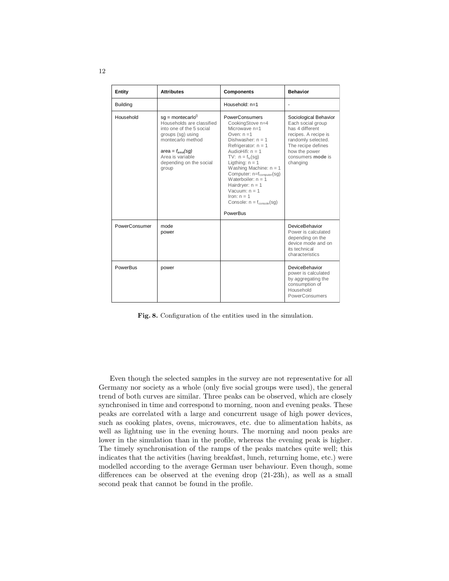| Entity          | <b>Attributes</b>                                                                                                                                                                                                  | <b>Components</b>                                                                                                                                                                                                                                                                                                                                                                                            | <b>Behavior</b>                                                                                                                                                                     |
|-----------------|--------------------------------------------------------------------------------------------------------------------------------------------------------------------------------------------------------------------|--------------------------------------------------------------------------------------------------------------------------------------------------------------------------------------------------------------------------------------------------------------------------------------------------------------------------------------------------------------------------------------------------------------|-------------------------------------------------------------------------------------------------------------------------------------------------------------------------------------|
| <b>Building</b> |                                                                                                                                                                                                                    | Household: $n=1$                                                                                                                                                                                                                                                                                                                                                                                             |                                                                                                                                                                                     |
| Household       | $sg =$ montecarlo <sup>0</sup><br>Households are classified<br>into one of the 5 social<br>groups (sq) using<br>montecarlo method<br>area = $f_{area}(sg)$<br>Area is variable<br>depending on the social<br>group | <b>PowerConsumers</b><br>CookingStove n=4<br>Microwave $n=1$<br>Oven: $n = 1$<br>Dishwasher: $n = 1$<br>Refrigerator: $n = 1$<br>AudioHifi: $n = 1$<br>TV: $n = f_{tv}(sq)$<br>Ligthing: $n = 1$<br>Washing Machine: $n = 1$<br>Computer: $n=f_{\text{computer}}(sg)$<br>Waterboiler: $n = 1$<br>Hairdryer: $n = 1$<br>Vacuum: $n = 1$<br>$lron: n = 1$<br>Console: $n = f_{\text{console}}(sq)$<br>PowerBus | Sociological Behavior<br>Each social group<br>has 4 different<br>recipes. A recipe is<br>randomly selected.<br>The recipe defines<br>how the power<br>consumers mode is<br>changing |
| PowerConsumer   | mode<br>power                                                                                                                                                                                                      |                                                                                                                                                                                                                                                                                                                                                                                                              | DeviceBehavior<br>Power is calculated<br>depending on the<br>device mode and on<br>its technical<br>characteristics                                                                 |
| PowerBus        | power                                                                                                                                                                                                              |                                                                                                                                                                                                                                                                                                                                                                                                              | DeviceBehavior<br>power is calculated<br>by aggregating the<br>consumption of<br>Household<br>PowerConsumers                                                                        |

Fig. 8. Configuration of the entities used in the simulation.

Even though the selected samples in the survey are not representative for all Germany nor society as a whole (only five social groups were used), the general trend of both curves are similar. Three peaks can be observed, which are closely synchronised in time and correspond to morning, noon and evening peaks. These peaks are correlated with a large and concurrent usage of high power devices, such as cooking plates, ovens, microwaves, etc. due to alimentation habits, as well as lightning use in the evening hours. The morning and noon peaks are lower in the simulation than in the profile, whereas the evening peak is higher. The timely synchronisation of the ramps of the peaks matches quite well; this indicates that the activities (having breakfast, lunch, returning home, etc.) were modelled according to the average German user behaviour. Even though, some differences can be observed at the evening drop (21-23h), as well as a small second peak that cannot be found in the profile.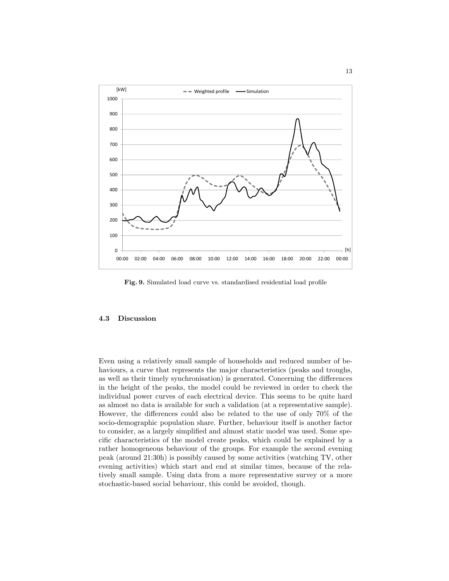

Fig. 9. Simulated load curve vs. standardised residential load profile

#### 4.3 Discussion

Even using a relatively small sample of households and reduced number of behaviours, a curve that represents the major characteristics (peaks and troughs, as well as their timely synchronisation) is generated. Concerning the differences in the height of the peaks, the model could be reviewed in order to check the individual power curves of each electrical device. This seems to be quite hard as almost no data is available for such a validation (at a representative sample). However, the differences could also be related to the use of only 70% of the socio-demographic population share. Further, behaviour itself is another factor to consider, as a largely simplified and almost static model was used. Some specific characteristics of the model create peaks, which could be explained by a rather homogeneous behaviour of the groups. For example the second evening peak (around 21:30h) is possibly caused by some activities (watching TV, other evening activities) which start and end at similar times, because of the relatively small sample. Using data from a more representative survey or a more stochastic-based social behaviour, this could be avoided, though.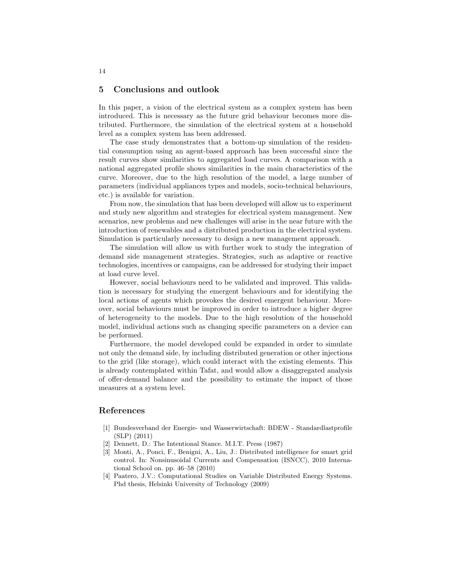#### 5 Conclusions and outlook

In this paper, a vision of the electrical system as a complex system has been introduced. This is necessary as the future grid behaviour becomes more distributed. Furthermore, the simulation of the electrical system at a household level as a complex system has been addressed.

The case study demonstrates that a bottom-up simulation of the residential consumption using an agent-based approach has been successful since the result curves show similarities to aggregated load curves. A comparison with a national aggregated profile shows similarities in the main characteristics of the curve. Moreover, due to the high resolution of the model, a large number of parameters (individual appliances types and models, socio-technical behaviours, etc.) is available for variation.

From now, the simulation that has been developed will allow us to experiment and study new algorithm and strategies for electrical system management. New scenarios, new problems and new challenges will arise in the near future with the introduction of renewables and a distributed production in the electrical system. Simulation is particularly necessary to design a new management approach.

The simulation will allow us with further work to study the integration of demand side management strategies. Strategies, such as adaptive or reactive technologies, incentives or campaigns, can be addressed for studying their impact at load curve level.

However, social behaviours need to be validated and improved. This validation is necessary for studying the emergent behaviours and for identifying the local actions of agents which provokes the desired emergent behaviour. Moreover, social behaviours must be improved in order to introduce a higher degree of heterogeneity to the models. Due to the high resolution of the household model, individual actions such as changing specific parameters on a device can be performed.

Furthermore, the model developed could be expanded in order to simulate not only the demand side, by including distributed generation or other injections to the grid (like storage), which could interact with the existing elements. This is already contemplated within Tafat, and would allow a disaggregated analysis of offer-demand balance and the possibility to estimate the impact of those measures at a system level.

# References

- [1] Bundesverband der Energie- und Wasserwirtschaft: BDEW Standardlastprofile (SLP) (2011)
- [2] Dennett, D.: The Intentional Stance. M.I.T. Press (1987)
- [3] Monti, A., Ponci, F., Benigni, A., Liu, J.: Distributed intelligence for smart grid control. In: Nonsinusoidal Currents and Compensation (ISNCC), 2010 International School on. pp. 46–58 (2010)
- Paatero, J.V.: Computational Studies on Variable Distributed Energy Systems. Phd thesis, Helsinki University of Technology (2009)